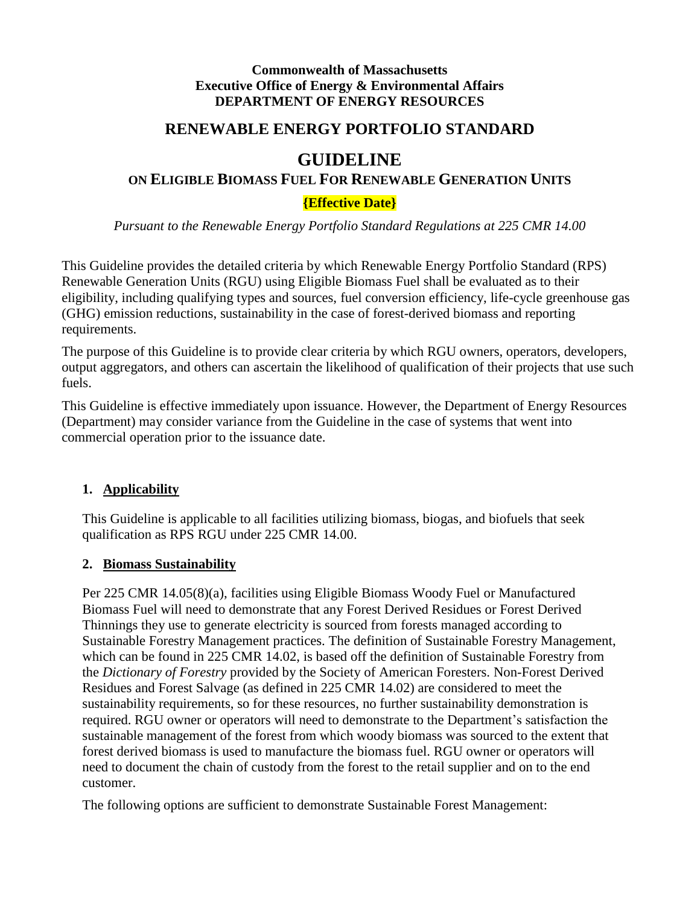#### **Commonwealth of Massachusetts Executive Office of Energy & Environmental Affairs DEPARTMENT OF ENERGY RESOURCES**

# **RENEWABLE ENERGY PORTFOLIO STANDARD**

# **GUIDELINE**

### **ON ELIGIBLE BIOMASS FUEL FOR RENEWABLE GENERATION UNITS**

### **{Effective Date}**

*Pursuant to the Renewable Energy Portfolio Standard Regulations at 225 CMR 14.00*

This Guideline provides the detailed criteria by which Renewable Energy Portfolio Standard (RPS) Renewable Generation Units (RGU) using Eligible Biomass Fuel shall be evaluated as to their eligibility, including qualifying types and sources, fuel conversion efficiency, life-cycle greenhouse gas (GHG) emission reductions, sustainability in the case of forest-derived biomass and reporting requirements.

The purpose of this Guideline is to provide clear criteria by which RGU owners, operators, developers, output aggregators, and others can ascertain the likelihood of qualification of their projects that use such fuels.

This Guideline is effective immediately upon issuance. However, the Department of Energy Resources (Department) may consider variance from the Guideline in the case of systems that went into commercial operation prior to the issuance date.

### **1. Applicability**

This Guideline is applicable to all facilities utilizing biomass, biogas, and biofuels that seek qualification as RPS RGU under 225 CMR 14.00.

### **2. Biomass Sustainability**

Per 225 CMR 14.05(8)(a), facilities using Eligible Biomass Woody Fuel or Manufactured Biomass Fuel will need to demonstrate that any Forest Derived Residues or Forest Derived Thinnings they use to generate electricity is sourced from forests managed according to Sustainable Forestry Management practices. The definition of Sustainable Forestry Management, which can be found in 225 CMR 14.02, is based off the definition of Sustainable Forestry from the *Dictionary of Forestry* provided by the Society of American Foresters. Non-Forest Derived Residues and Forest Salvage (as defined in 225 CMR 14.02) are considered to meet the sustainability requirements, so for these resources, no further sustainability demonstration is required. RGU owner or operators will need to demonstrate to the Department's satisfaction the sustainable management of the forest from which woody biomass was sourced to the extent that forest derived biomass is used to manufacture the biomass fuel. RGU owner or operators will need to document the chain of custody from the forest to the retail supplier and on to the end customer.

The following options are sufficient to demonstrate Sustainable Forest Management: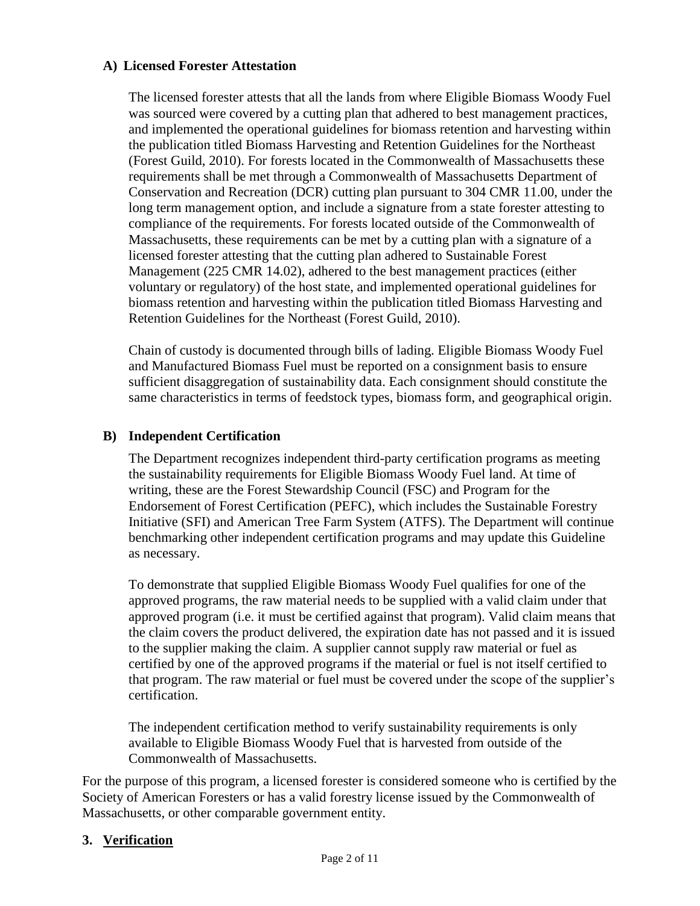#### **A) Licensed Forester Attestation**

The licensed forester attests that all the lands from where Eligible Biomass Woody Fuel was sourced were covered by a cutting plan that adhered to best management practices, and implemented the operational guidelines for biomass retention and harvesting within the publication titled Biomass Harvesting and Retention Guidelines for the Northeast (Forest Guild, 2010). For forests located in the Commonwealth of Massachusetts these requirements shall be met through a Commonwealth of Massachusetts Department of Conservation and Recreation (DCR) cutting plan pursuant to 304 CMR 11.00, under the long term management option, and include a signature from a state forester attesting to compliance of the requirements. For forests located outside of the Commonwealth of Massachusetts, these requirements can be met by a cutting plan with a signature of a licensed forester attesting that the cutting plan adhered to Sustainable Forest Management (225 CMR 14.02), adhered to the best management practices (either voluntary or regulatory) of the host state, and implemented operational guidelines for biomass retention and harvesting within the publication titled Biomass Harvesting and Retention Guidelines for the Northeast (Forest Guild, 2010).

Chain of custody is documented through bills of lading. Eligible Biomass Woody Fuel and Manufactured Biomass Fuel must be reported on a consignment basis to ensure sufficient disaggregation of sustainability data. Each consignment should constitute the same characteristics in terms of feedstock types, biomass form, and geographical origin.

#### **B) Independent Certification**

The Department recognizes independent third-party certification programs as meeting the sustainability requirements for Eligible Biomass Woody Fuel land. At time of writing, these are the Forest Stewardship Council (FSC) and Program for the Endorsement of Forest Certification (PEFC), which includes the Sustainable Forestry Initiative (SFI) and American Tree Farm System (ATFS). The Department will continue benchmarking other independent certification programs and may update this Guideline as necessary.

To demonstrate that supplied Eligible Biomass Woody Fuel qualifies for one of the approved programs, the raw material needs to be supplied with a valid claim under that approved program (i.e. it must be certified against that program). Valid claim means that the claim covers the product delivered, the expiration date has not passed and it is issued to the supplier making the claim. A supplier cannot supply raw material or fuel as certified by one of the approved programs if the material or fuel is not itself certified to that program. The raw material or fuel must be covered under the scope of the supplier's certification.

The independent certification method to verify sustainability requirements is only available to Eligible Biomass Woody Fuel that is harvested from outside of the Commonwealth of Massachusetts.

For the purpose of this program, a licensed forester is considered someone who is certified by the Society of American Foresters or has a valid forestry license issued by the Commonwealth of Massachusetts, or other comparable government entity.

### **3. Verification**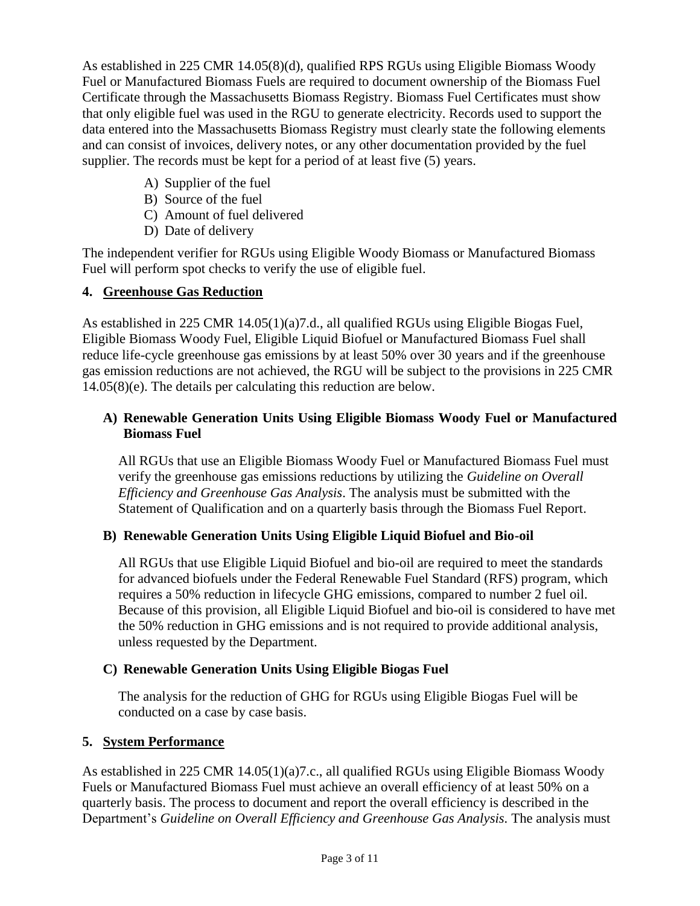As established in 225 CMR 14.05(8)(d), qualified RPS RGUs using Eligible Biomass Woody Fuel or Manufactured Biomass Fuels are required to document ownership of the Biomass Fuel Certificate through the Massachusetts Biomass Registry. Biomass Fuel Certificates must show that only eligible fuel was used in the RGU to generate electricity. Records used to support the data entered into the Massachusetts Biomass Registry must clearly state the following elements and can consist of invoices, delivery notes, or any other documentation provided by the fuel supplier. The records must be kept for a period of at least five (5) years.

- A) Supplier of the fuel
- B) Source of the fuel
- C) Amount of fuel delivered
- D) Date of delivery

The independent verifier for RGUs using Eligible Woody Biomass or Manufactured Biomass Fuel will perform spot checks to verify the use of eligible fuel.

### **4. Greenhouse Gas Reduction**

As established in 225 CMR 14.05(1)(a)7.d., all qualified RGUs using Eligible Biogas Fuel, Eligible Biomass Woody Fuel, Eligible Liquid Biofuel or Manufactured Biomass Fuel shall reduce life-cycle greenhouse gas emissions by at least 50% over 30 years and if the greenhouse gas emission reductions are not achieved, the RGU will be subject to the provisions in 225 CMR 14.05(8)(e). The details per calculating this reduction are below.

### **A) Renewable Generation Units Using Eligible Biomass Woody Fuel or Manufactured Biomass Fuel**

All RGUs that use an Eligible Biomass Woody Fuel or Manufactured Biomass Fuel must verify the greenhouse gas emissions reductions by utilizing the *Guideline on Overall Efficiency and Greenhouse Gas Analysis*. The analysis must be submitted with the Statement of Qualification and on a quarterly basis through the Biomass Fuel Report.

### **B) Renewable Generation Units Using Eligible Liquid Biofuel and Bio-oil**

All RGUs that use Eligible Liquid Biofuel and bio-oil are required to meet the standards for advanced biofuels under the Federal Renewable Fuel Standard (RFS) program, which requires a 50% reduction in lifecycle GHG emissions, compared to number 2 fuel oil. Because of this provision, all Eligible Liquid Biofuel and bio-oil is considered to have met the 50% reduction in GHG emissions and is not required to provide additional analysis, unless requested by the Department.

### **C) Renewable Generation Units Using Eligible Biogas Fuel**

The analysis for the reduction of GHG for RGUs using Eligible Biogas Fuel will be conducted on a case by case basis.

# **5. System Performance**

As established in 225 CMR 14.05(1)(a)7.c., all qualified RGUs using Eligible Biomass Woody Fuels or Manufactured Biomass Fuel must achieve an overall efficiency of at least 50% on a quarterly basis. The process to document and report the overall efficiency is described in the Department's *Guideline on Overall Efficiency and Greenhouse Gas Analysis.* The analysis must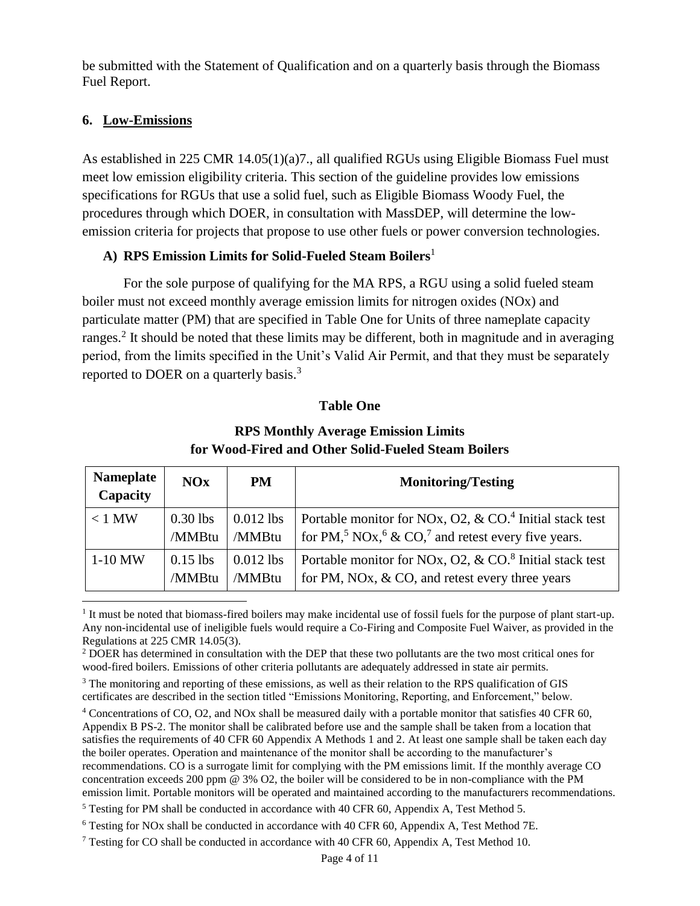be submitted with the Statement of Qualification and on a quarterly basis through the Biomass Fuel Report.

### **6. Low-Emissions**

 $\overline{\phantom{a}}$ 

As established in 225 CMR 14.05(1)(a)7., all qualified RGUs using Eligible Biomass Fuel must meet low emission eligibility criteria. This section of the guideline provides low emissions specifications for RGUs that use a solid fuel, such as Eligible Biomass Woody Fuel, the procedures through which DOER, in consultation with MassDEP, will determine the lowemission criteria for projects that propose to use other fuels or power conversion technologies.

### **A) RPS Emission Limits for Solid-Fueled Steam Boilers**<sup>1</sup>

For the sole purpose of qualifying for the MA RPS, a RGU using a solid fueled steam boiler must not exceed monthly average emission limits for nitrogen oxides (NOx) and particulate matter (PM) that are specified in Table One for Units of three nameplate capacity ranges.<sup>2</sup> It should be noted that these limits may be different, both in magnitude and in averaging period, from the limits specified in the Unit's Valid Air Permit, and that they must be separately reported to DOER on a quarterly basis.<sup>3</sup>

#### **Table One**

| <b>Nameplate</b><br>Capacity | <b>NOx</b> | <b>PM</b>   | <b>Monitoring/Testing</b>                                                              |
|------------------------------|------------|-------------|----------------------------------------------------------------------------------------|
| $< 1$ MW                     | $0.30$ lbs | $0.012$ lbs | Portable monitor for NOx, O2, & $CO4$ Initial stack test                               |
|                              | /MMBtu     | /MMBtu      | for PM, <sup>5</sup> NOx, <sup>6</sup> & CO, <sup>7</sup> and retest every five years. |
| $1-10$ MW                    | $0.15$ lbs | $0.012$ lbs | Portable monitor for NOx, O2, & $CO8$ Initial stack test                               |
|                              | /MMBtu     | /MMBtu      | for PM, NOx, $& CO$ , and retest every three years                                     |

**RPS Monthly Average Emission Limits for Wood-Fired and Other Solid-Fueled Steam Boilers**

<sup>1</sup> It must be noted that biomass-fired boilers may make incidental use of fossil fuels for the purpose of plant start-up. Any non-incidental use of ineligible fuels would require a Co-Firing and Composite Fuel Waiver, as provided in the Regulations at 225 CMR 14.05(3).

<sup>2</sup> DOER has determined in consultation with the DEP that these two pollutants are the two most critical ones for wood-fired boilers. Emissions of other criteria pollutants are adequately addressed in state air permits.

<sup>3</sup> The monitoring and reporting of these emissions, as well as their relation to the RPS qualification of GIS certificates are described in the section titled "Emissions Monitoring, Reporting, and Enforcement," below.

<sup>4</sup> Concentrations of CO, O2, and NOx shall be measured daily with a portable monitor that satisfies 40 CFR 60, Appendix B PS-2. The monitor shall be calibrated before use and the sample shall be taken from a location that satisfies the requirements of 40 CFR 60 Appendix A Methods 1 and 2. At least one sample shall be taken each day the boiler operates. Operation and maintenance of the monitor shall be according to the manufacturer's recommendations. CO is a surrogate limit for complying with the PM emissions limit. If the monthly average CO concentration exceeds 200 ppm @ 3% O2, the boiler will be considered to be in non-compliance with the PM emission limit. Portable monitors will be operated and maintained according to the manufacturers recommendations.

 $5$  Testing for PM shall be conducted in accordance with 40 CFR 60, Appendix A, Test Method 5.

<sup>6</sup> Testing for NOx shall be conducted in accordance with 40 CFR 60, Appendix A, Test Method 7E.

<sup>7</sup> Testing for CO shall be conducted in accordance with 40 CFR 60, Appendix A, Test Method 10.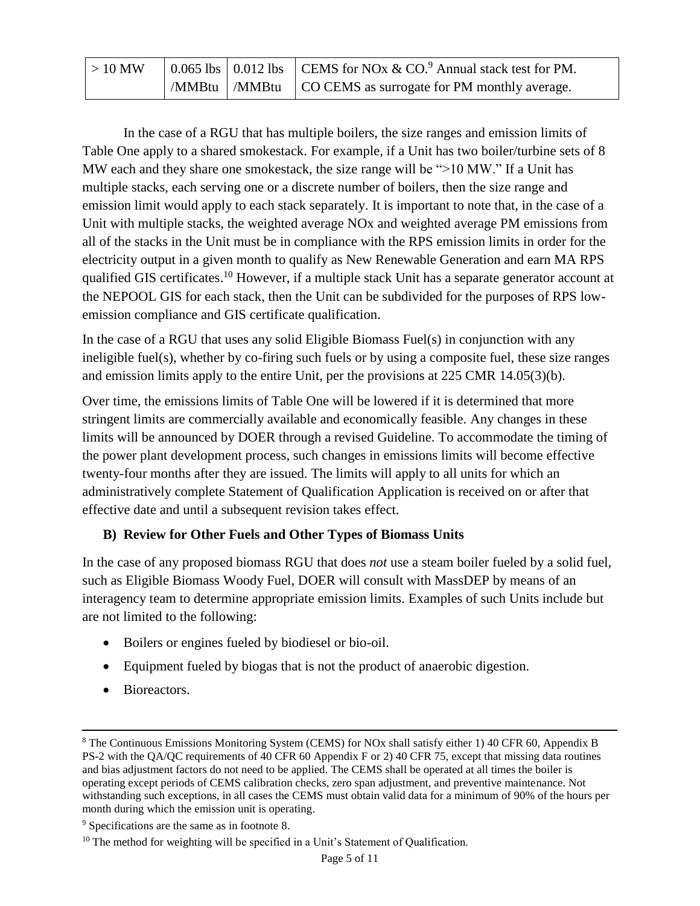| $\vert$ > 10 MW |  | 0.065 lbs   0.012 lbs   CEMS for NOx & CO. <sup>9</sup> Annual stack test for PM. |  |
|-----------------|--|-----------------------------------------------------------------------------------|--|
|                 |  | $\mid$ /MMBtu $\mid$ /MMBtu $\mid$ CO CEMS as surrogate for PM monthly average.   |  |

In the case of a RGU that has multiple boilers, the size ranges and emission limits of Table One apply to a shared smokestack. For example, if a Unit has two boiler/turbine sets of 8 MW each and they share one smokestack, the size range will be ">10 MW." If a Unit has multiple stacks, each serving one or a discrete number of boilers, then the size range and emission limit would apply to each stack separately. It is important to note that, in the case of a Unit with multiple stacks, the weighted average NOx and weighted average PM emissions from all of the stacks in the Unit must be in compliance with the RPS emission limits in order for the electricity output in a given month to qualify as New Renewable Generation and earn MA RPS qualified GIS certificates.<sup>10</sup> However, if a multiple stack Unit has a separate generator account at the NEPOOL GIS for each stack, then the Unit can be subdivided for the purposes of RPS lowemission compliance and GIS certificate qualification.

In the case of a RGU that uses any solid Eligible Biomass Fuel(s) in conjunction with any ineligible fuel(s), whether by co-firing such fuels or by using a composite fuel, these size ranges and emission limits apply to the entire Unit, per the provisions at 225 CMR 14.05(3)(b).

Over time, the emissions limits of Table One will be lowered if it is determined that more stringent limits are commercially available and economically feasible. Any changes in these limits will be announced by DOER through a revised Guideline. To accommodate the timing of the power plant development process, such changes in emissions limits will become effective twenty-four months after they are issued. The limits will apply to all units for which an administratively complete Statement of Qualification Application is received on or after that effective date and until a subsequent revision takes effect.

# **B) Review for Other Fuels and Other Types of Biomass Units**

In the case of any proposed biomass RGU that does *not* use a steam boiler fueled by a solid fuel, such as Eligible Biomass Woody Fuel, DOER will consult with MassDEP by means of an interagency team to determine appropriate emission limits. Examples of such Units include but are not limited to the following:

- Boilers or engines fueled by biodiesel or bio-oil.
- Equipment fueled by biogas that is not the product of anaerobic digestion.
- Bioreactors.

 $\overline{\phantom{a}}$ 

<sup>8</sup> The Continuous Emissions Monitoring System (CEMS) for NOx shall satisfy either 1) 40 CFR 60, Appendix B PS-2 with the QA/QC requirements of 40 CFR 60 Appendix F or 2) 40 CFR 75, except that missing data routines and bias adjustment factors do not need to be applied. The CEMS shall be operated at all times the boiler is operating except periods of CEMS calibration checks, zero span adjustment, and preventive maintenance. Not withstanding such exceptions, in all cases the CEMS must obtain valid data for a minimum of 90% of the hours per month during which the emission unit is operating.

<sup>9</sup> Specifications are the same as in footnote 8.

<sup>&</sup>lt;sup>10</sup> The method for weighting will be specified in a Unit's Statement of Qualification.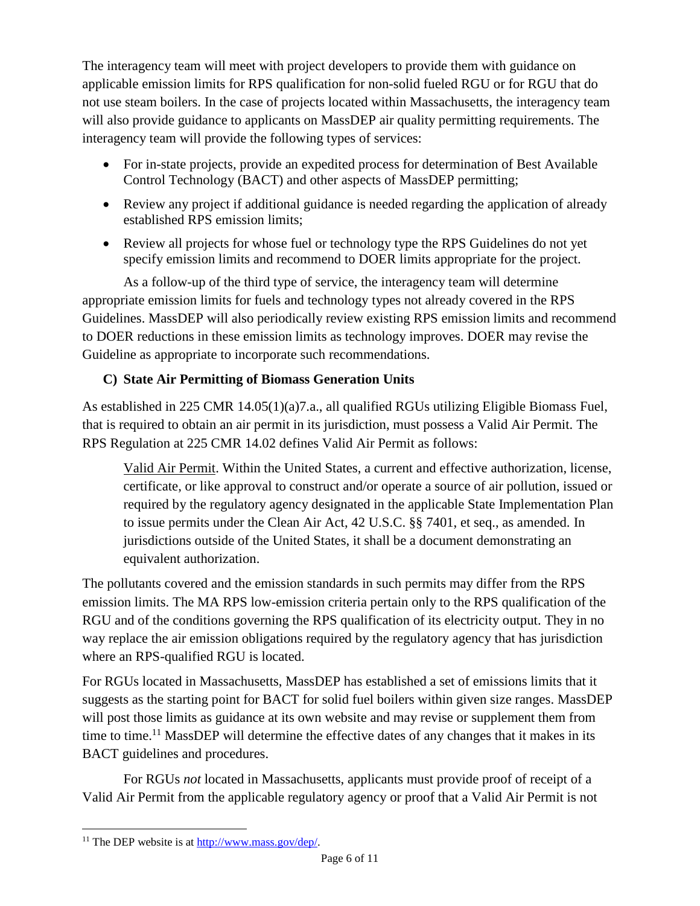The interagency team will meet with project developers to provide them with guidance on applicable emission limits for RPS qualification for non-solid fueled RGU or for RGU that do not use steam boilers. In the case of projects located within Massachusetts, the interagency team will also provide guidance to applicants on MassDEP air quality permitting requirements. The interagency team will provide the following types of services:

- For in-state projects, provide an expedited process for determination of Best Available Control Technology (BACT) and other aspects of MassDEP permitting;
- Review any project if additional guidance is needed regarding the application of already established RPS emission limits;
- Review all projects for whose fuel or technology type the RPS Guidelines do not yet specify emission limits and recommend to DOER limits appropriate for the project.

As a follow-up of the third type of service, the interagency team will determine appropriate emission limits for fuels and technology types not already covered in the RPS Guidelines. MassDEP will also periodically review existing RPS emission limits and recommend to DOER reductions in these emission limits as technology improves. DOER may revise the Guideline as appropriate to incorporate such recommendations.

# **C) State Air Permitting of Biomass Generation Units**

As established in 225 CMR 14.05(1)(a)7.a., all qualified RGUs utilizing Eligible Biomass Fuel, that is required to obtain an air permit in its jurisdiction, must possess a Valid Air Permit. The RPS Regulation at 225 CMR 14.02 defines Valid Air Permit as follows:

Valid Air Permit. Within the United States, a current and effective authorization, license, certificate, or like approval to construct and/or operate a source of air pollution, issued or required by the regulatory agency designated in the applicable State Implementation Plan to issue permits under the Clean Air Act, 42 U.S.C. §§ 7401, et seq., as amended. In jurisdictions outside of the United States, it shall be a document demonstrating an equivalent authorization.

The pollutants covered and the emission standards in such permits may differ from the RPS emission limits. The MA RPS low-emission criteria pertain only to the RPS qualification of the RGU and of the conditions governing the RPS qualification of its electricity output. They in no way replace the air emission obligations required by the regulatory agency that has jurisdiction where an RPS-qualified RGU is located.

For RGUs located in Massachusetts, MassDEP has established a set of emissions limits that it suggests as the starting point for BACT for solid fuel boilers within given size ranges. MassDEP will post those limits as guidance at its own website and may revise or supplement them from time to time.<sup>11</sup> MassDEP will determine the effective dates of any changes that it makes in its BACT guidelines and procedures.

For RGUs *not* located in Massachusetts, applicants must provide proof of receipt of a Valid Air Permit from the applicable regulatory agency or proof that a Valid Air Permit is not

 $\overline{a}$ 

 $11$  The DEP website is at [http://www.mass.gov/dep/.](http://www.mass.gov/dep/)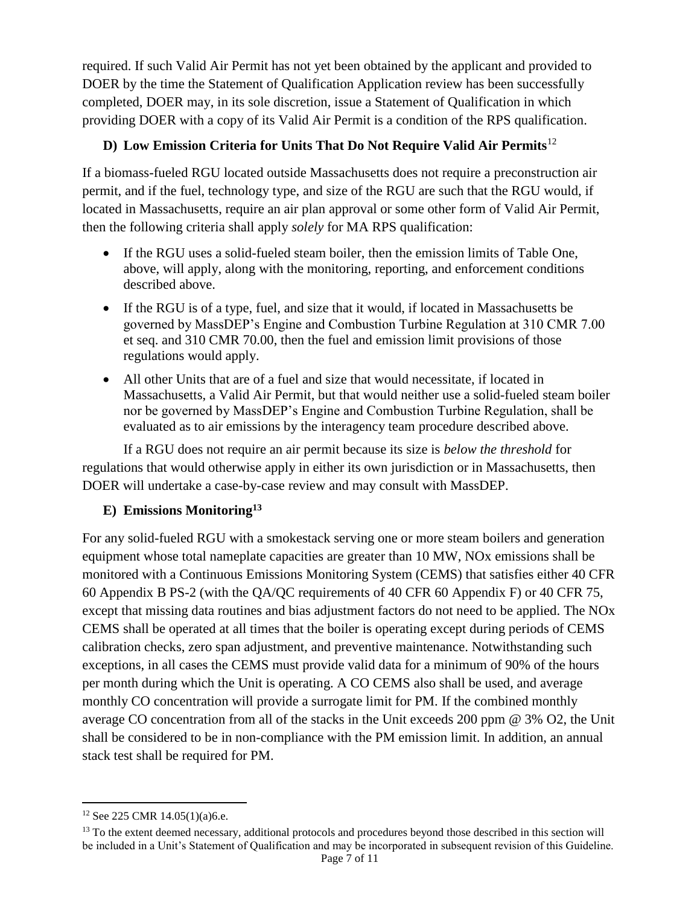required. If such Valid Air Permit has not yet been obtained by the applicant and provided to DOER by the time the Statement of Qualification Application review has been successfully completed, DOER may, in its sole discretion, issue a Statement of Qualification in which providing DOER with a copy of its Valid Air Permit is a condition of the RPS qualification.

# **D) Low Emission Criteria for Units That Do Not Require Valid Air Permits**<sup>12</sup>

If a biomass-fueled RGU located outside Massachusetts does not require a preconstruction air permit, and if the fuel, technology type, and size of the RGU are such that the RGU would, if located in Massachusetts, require an air plan approval or some other form of Valid Air Permit, then the following criteria shall apply *solely* for MA RPS qualification:

- If the RGU uses a solid-fueled steam boiler, then the emission limits of Table One. above, will apply, along with the monitoring, reporting, and enforcement conditions described above.
- If the RGU is of a type, fuel, and size that it would, if located in Massachusetts be governed by MassDEP's Engine and Combustion Turbine Regulation at 310 CMR 7.00 et seq. and 310 CMR 70.00, then the fuel and emission limit provisions of those regulations would apply.
- All other Units that are of a fuel and size that would necessitate, if located in Massachusetts, a Valid Air Permit, but that would neither use a solid-fueled steam boiler nor be governed by MassDEP's Engine and Combustion Turbine Regulation, shall be evaluated as to air emissions by the interagency team procedure described above.

If a RGU does not require an air permit because its size is *below the threshold* for regulations that would otherwise apply in either its own jurisdiction or in Massachusetts, then DOER will undertake a case-by-case review and may consult with MassDEP.

# **E) Emissions Monitoring<sup>13</sup>**

For any solid-fueled RGU with a smokestack serving one or more steam boilers and generation equipment whose total nameplate capacities are greater than 10 MW, NOx emissions shall be monitored with a Continuous Emissions Monitoring System (CEMS) that satisfies either 40 CFR 60 Appendix B PS-2 (with the QA/QC requirements of 40 CFR 60 Appendix F) or 40 CFR 75, except that missing data routines and bias adjustment factors do not need to be applied. The NOx CEMS shall be operated at all times that the boiler is operating except during periods of CEMS calibration checks, zero span adjustment, and preventive maintenance. Notwithstanding such exceptions, in all cases the CEMS must provide valid data for a minimum of 90% of the hours per month during which the Unit is operating. A CO CEMS also shall be used, and average monthly CO concentration will provide a surrogate limit for PM. If the combined monthly average CO concentration from all of the stacks in the Unit exceeds 200 ppm @ 3% O2, the Unit shall be considered to be in non-compliance with the PM emission limit. In addition, an annual stack test shall be required for PM.

 $\overline{a}$ 

<sup>12</sup> See 225 CMR 14.05(1)(a)6.e.

<sup>&</sup>lt;sup>13</sup> To the extent deemed necessary, additional protocols and procedures beyond those described in this section will be included in a Unit's Statement of Qualification and may be incorporated in subsequent revision of this Guideline.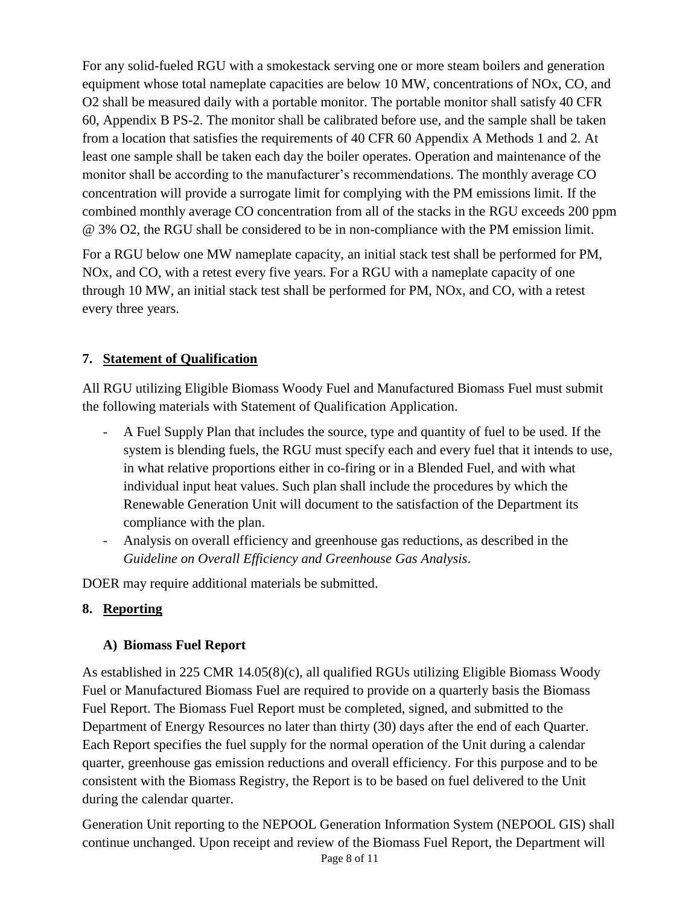For any solid-fueled RGU with a smokestack serving one or more steam boilers and generation equipment whose total nameplate capacities are below 10 MW, concentrations of NOx, CO, and O2 shall be measured daily with a portable monitor. The portable monitor shall satisfy 40 CFR 60, Appendix B PS-2. The monitor shall be calibrated before use, and the sample shall be taken from a location that satisfies the requirements of 40 CFR 60 Appendix A Methods 1 and 2. At least one sample shall be taken each day the boiler operates. Operation and maintenance of the monitor shall be according to the manufacturer's recommendations. The monthly average CO concentration will provide a surrogate limit for complying with the PM emissions limit. If the combined monthly average CO concentration from all of the stacks in the RGU exceeds 200 ppm @ 3% O2, the RGU shall be considered to be in non-compliance with the PM emission limit.

For a RGU below one MW nameplate capacity, an initial stack test shall be performed for PM, NOx, and CO, with a retest every five years. For a RGU with a nameplate capacity of one through 10 MW, an initial stack test shall be performed for PM, NOx, and CO, with a retest every three years.

# **7. Statement of Qualification**

All RGU utilizing Eligible Biomass Woody Fuel and Manufactured Biomass Fuel must submit the following materials with Statement of Qualification Application.

- A Fuel Supply Plan that includes the source, type and quantity of fuel to be used. If the system is blending fuels, the RGU must specify each and every fuel that it intends to use, in what relative proportions either in co-firing or in a Blended Fuel, and with what individual input heat values. Such plan shall include the procedures by which the Renewable Generation Unit will document to the satisfaction of the Department its compliance with the plan.
- Analysis on overall efficiency and greenhouse gas reductions, as described in the *Guideline on Overall Efficiency and Greenhouse Gas Analysis*.

DOER may require additional materials be submitted.

# **8. Reporting**

# **A) Biomass Fuel Report**

As established in 225 CMR 14.05(8)(c), all qualified RGUs utilizing Eligible Biomass Woody Fuel or Manufactured Biomass Fuel are required to provide on a quarterly basis the Biomass Fuel Report. The Biomass Fuel Report must be completed, signed, and submitted to the Department of Energy Resources no later than thirty (30) days after the end of each Quarter. Each Report specifies the fuel supply for the normal operation of the Unit during a calendar quarter, greenhouse gas emission reductions and overall efficiency. For this purpose and to be consistent with the Biomass Registry, the Report is to be based on fuel delivered to the Unit during the calendar quarter.

Generation Unit reporting to the NEPOOL Generation Information System (NEPOOL GIS) shall continue unchanged. Upon receipt and review of the Biomass Fuel Report, the Department will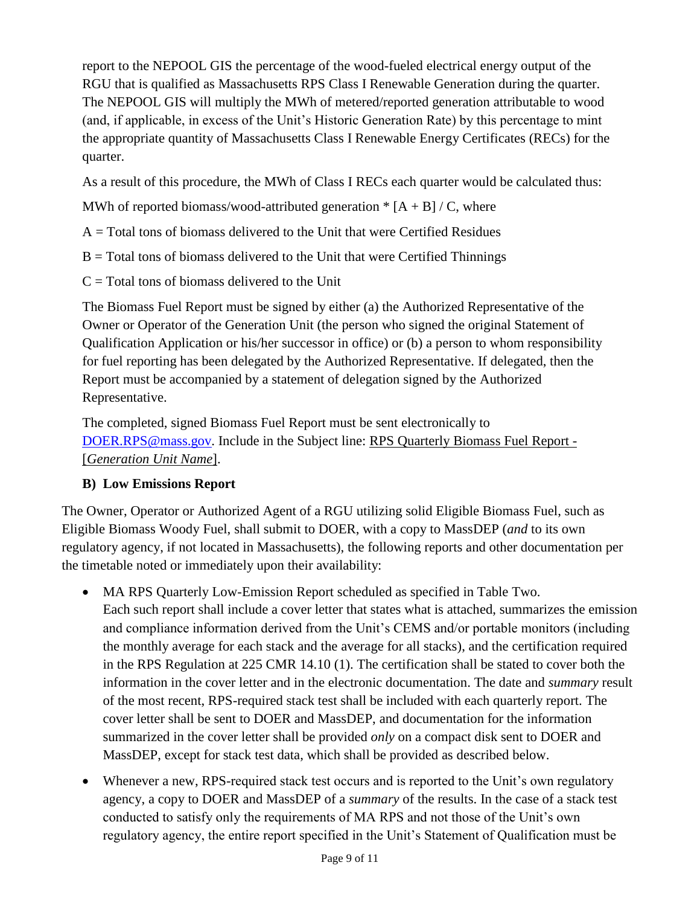report to the NEPOOL GIS the percentage of the wood-fueled electrical energy output of the RGU that is qualified as Massachusetts RPS Class I Renewable Generation during the quarter. The NEPOOL GIS will multiply the MWh of metered/reported generation attributable to wood (and, if applicable, in excess of the Unit's Historic Generation Rate) by this percentage to mint the appropriate quantity of Massachusetts Class I Renewable Energy Certificates (RECs) for the quarter.

As a result of this procedure, the MWh of Class I RECs each quarter would be calculated thus:

MWh of reported biomass/wood-attributed generation  $*$  [A + B] / C, where

- $A = Total$  tons of biomass delivered to the Unit that were Certified Residues
- $B = Total$  tons of biomass delivered to the Unit that were Certified Thinnings
- $C = \text{Total tons of biomass delivered to the Unit}$

The Biomass Fuel Report must be signed by either (a) the Authorized Representative of the Owner or Operator of the Generation Unit (the person who signed the original Statement of Qualification Application or his/her successor in office) or (b) a person to whom responsibility for fuel reporting has been delegated by the Authorized Representative. If delegated, then the Report must be accompanied by a statement of delegation signed by the Authorized Representative.

The completed, signed Biomass Fuel Report must be sent electronically to [DOER.RPS@mass.gov.](mailto:DOER.RPS@mass.gov) Include in the Subject line: RPS Quarterly Biomass Fuel Report - [*Generation Unit Name*].

### **B) Low Emissions Report**

The Owner, Operator or Authorized Agent of a RGU utilizing solid Eligible Biomass Fuel, such as Eligible Biomass Woody Fuel, shall submit to DOER, with a copy to MassDEP (*and* to its own regulatory agency, if not located in Massachusetts), the following reports and other documentation per the timetable noted or immediately upon their availability:

- MA RPS Quarterly Low-Emission Report scheduled as specified in Table Two. Each such report shall include a cover letter that states what is attached, summarizes the emission and compliance information derived from the Unit's CEMS and/or portable monitors (including the monthly average for each stack and the average for all stacks), and the certification required in the RPS Regulation at 225 CMR 14.10 (1). The certification shall be stated to cover both the information in the cover letter and in the electronic documentation. The date and *summary* result of the most recent, RPS-required stack test shall be included with each quarterly report. The cover letter shall be sent to DOER and MassDEP, and documentation for the information summarized in the cover letter shall be provided *only* on a compact disk sent to DOER and MassDEP, except for stack test data, which shall be provided as described below.
- Whenever a new, RPS-required stack test occurs and is reported to the Unit's own regulatory agency, a copy to DOER and MassDEP of a *summary* of the results. In the case of a stack test conducted to satisfy only the requirements of MA RPS and not those of the Unit's own regulatory agency, the entire report specified in the Unit's Statement of Qualification must be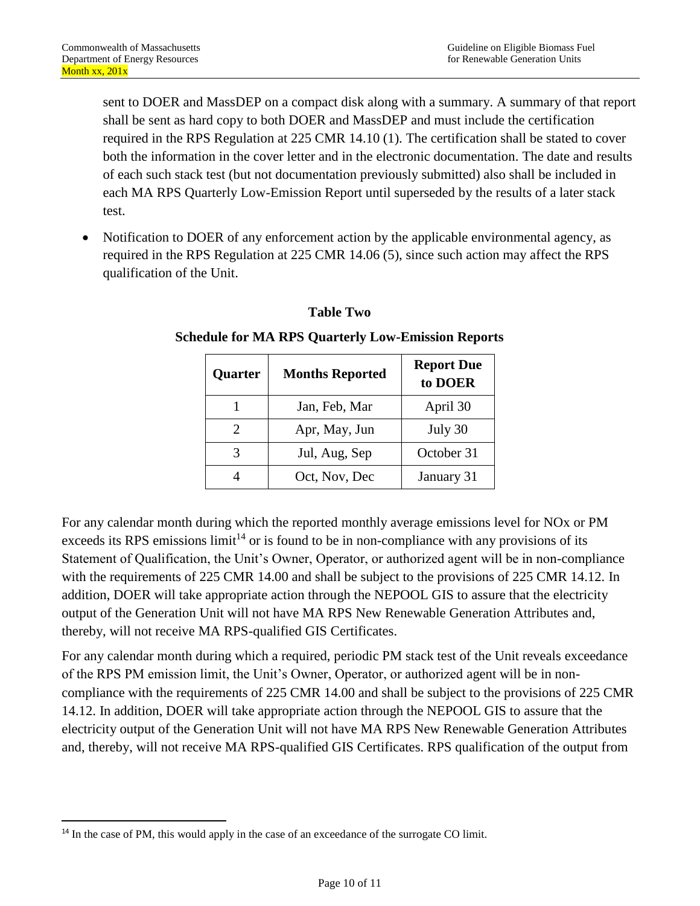sent to DOER and MassDEP on a compact disk along with a summary. A summary of that report shall be sent as hard copy to both DOER and MassDEP and must include the certification required in the RPS Regulation at 225 CMR 14.10 (1). The certification shall be stated to cover both the information in the cover letter and in the electronic documentation. The date and results of each such stack test (but not documentation previously submitted) also shall be included in each MA RPS Quarterly Low-Emission Report until superseded by the results of a later stack test.

• Notification to DOER of any enforcement action by the applicable environmental agency, as required in the RPS Regulation at 225 CMR 14.06 (5), since such action may affect the RPS qualification of the Unit.

| Quarter | <b>Months Reported</b> | <b>Report Due</b><br>to DOER |
|---------|------------------------|------------------------------|
|         | Jan, Feb, Mar          | April 30                     |
|         | Apr, May, Jun          | July 30                      |
|         | Jul, Aug, Sep          | October 31                   |
|         | Oct, Nov, Dec          | January 31                   |

#### **Table Two**

### **Schedule for MA RPS Quarterly Low-Emission Reports**

For any calendar month during which the reported monthly average emissions level for NOx or PM exceeds its RPS emissions  $\text{limit}^{14}$  or is found to be in non-compliance with any provisions of its Statement of Qualification, the Unit's Owner, Operator, or authorized agent will be in non-compliance with the requirements of 225 CMR 14.00 and shall be subject to the provisions of 225 CMR 14.12. In addition, DOER will take appropriate action through the NEPOOL GIS to assure that the electricity output of the Generation Unit will not have MA RPS New Renewable Generation Attributes and, thereby, will not receive MA RPS-qualified GIS Certificates.

For any calendar month during which a required, periodic PM stack test of the Unit reveals exceedance of the RPS PM emission limit, the Unit's Owner, Operator, or authorized agent will be in noncompliance with the requirements of 225 CMR 14.00 and shall be subject to the provisions of 225 CMR 14.12. In addition, DOER will take appropriate action through the NEPOOL GIS to assure that the electricity output of the Generation Unit will not have MA RPS New Renewable Generation Attributes and, thereby, will not receive MA RPS-qualified GIS Certificates. RPS qualification of the output from

 $\overline{\phantom{a}}$ 

<sup>&</sup>lt;sup>14</sup> In the case of PM, this would apply in the case of an exceedance of the surrogate CO limit.